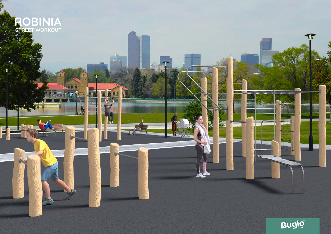

**March** 

A

ĠП

N.

 $\mathbf{v}$ 

Ŧ



Th

**MAR** 

id.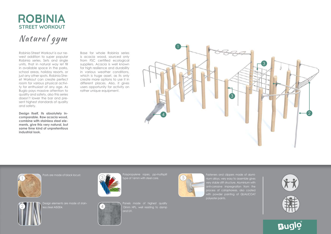## **ROBINIA STREET WORKOUT**

Natural gym

Robinia Street Workout is our newest addition to super popular Robinia series. Sets and single units, that in natural way let fill in available space in the parks, school areas, holiday resorts, or just any other spots. Robinia Street Workout can create perfect room for various physical activity for enthusiast of any age. As Buglo pays massive attention to quality and safety, also this series doesn't lower the bar and present highest standards of quality and safety.

**Design itself, its absolutely incomparable. Raw acacia wood, combine with stainless steel elements, give this very natural, but same time kind of unpretentious industrial look.**

Base for whole Robinia series is acacia wood, sourced only from FSC certified ecological suppliers. Acacia is well known for high resilience and durability in various weather conditions, which is huge asset, as its only create more options to use it in different places. Also, it gives users opportunity for activity on rather unique equipment.





Posts are made of black locust.



Polypropylene ropes, pp-multisplit ype of 16mm with steel core.



Fasteners and clippers made of aluminium alloys, very easy to assemble gives anti-corrosive impregnation from the process of cataphoresis, also coated with powder painting of QUALICOAT









esian elements are made of stains steel AISI304.

4



Panels made of highest quality 13mm HPL, well resisting to damp and UV.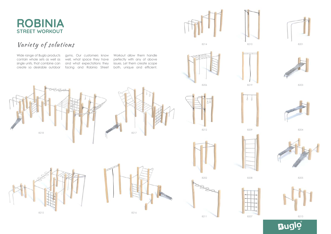## **ROBINIA STREET WORKOUT**

## Variety of solutions

contain whole sets as well as

Wide range of Buglo products gyms. Our customers know single units, that combine can and what expectations they create so desirable outdoor facing and Robinia Street well, what space they have

Workout allow them handle perfectly with any of above issues. Let them create scope both, unique and efficient.









8206 8219 8203











8211 8207 8207 8207 8213















 $\delta$   $\delta$